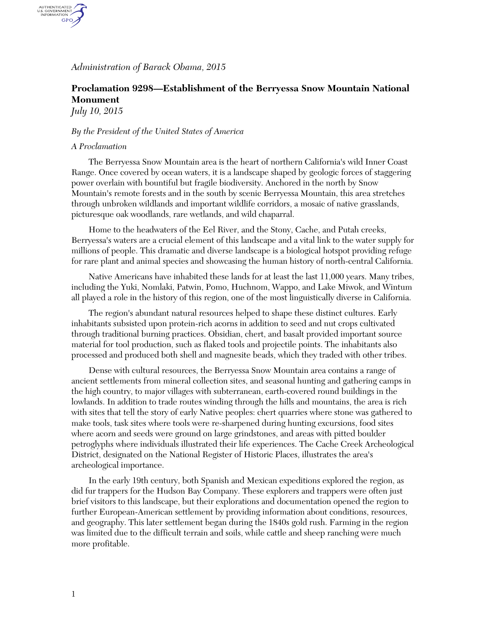## *Administration of Barack Obama, 2015*

# **Proclamation 9298—Establishment of the Berryessa Snow Mountain National Monument**

*July 10, 2015*

AUTHENTICATED<br>U.S. GOVERNMENT<br>INFORMATION GPO

## *By the President of the United States of America*

#### *A Proclamation*

The Berryessa Snow Mountain area is the heart of northern California's wild Inner Coast Range. Once covered by ocean waters, it is a landscape shaped by geologic forces of staggering power overlain with bountiful but fragile biodiversity. Anchored in the north by Snow Mountain's remote forests and in the south by scenic Berryessa Mountain, this area stretches through unbroken wildlands and important wildlife corridors, a mosaic of native grasslands, picturesque oak woodlands, rare wetlands, and wild chaparral.

Home to the headwaters of the Eel River, and the Stony, Cache, and Putah creeks, Berryessa's waters are a crucial element of this landscape and a vital link to the water supply for millions of people. This dramatic and diverse landscape is a biological hotspot providing refuge for rare plant and animal species and showcasing the human history of north-central California.

Native Americans have inhabited these lands for at least the last 11,000 years. Many tribes, including the Yuki, Nomlaki, Patwin, Pomo, Huchnom, Wappo, and Lake Miwok, and Wintum all played a role in the history of this region, one of the most linguistically diverse in California.

The region's abundant natural resources helped to shape these distinct cultures. Early inhabitants subsisted upon protein-rich acorns in addition to seed and nut crops cultivated through traditional burning practices. Obsidian, chert, and basalt provided important source material for tool production, such as flaked tools and projectile points. The inhabitants also processed and produced both shell and magnesite beads, which they traded with other tribes.

Dense with cultural resources, the Berryessa Snow Mountain area contains a range of ancient settlements from mineral collection sites, and seasonal hunting and gathering camps in the high country, to major villages with subterranean, earth-covered round buildings in the lowlands. In addition to trade routes winding through the hills and mountains, the area is rich with sites that tell the story of early Native peoples: chert quarries where stone was gathered to make tools, task sites where tools were re-sharpened during hunting excursions, food sites where acorn and seeds were ground on large grindstones, and areas with pitted boulder petroglyphs where individuals illustrated their life experiences. The Cache Creek Archeological District, designated on the National Register of Historic Places, illustrates the area's archeological importance.

In the early 19th century, both Spanish and Mexican expeditions explored the region, as did fur trappers for the Hudson Bay Company. These explorers and trappers were often just brief visitors to this landscape, but their explorations and documentation opened the region to further European-American settlement by providing information about conditions, resources, and geography. This later settlement began during the 1840s gold rush. Farming in the region was limited due to the difficult terrain and soils, while cattle and sheep ranching were much more profitable.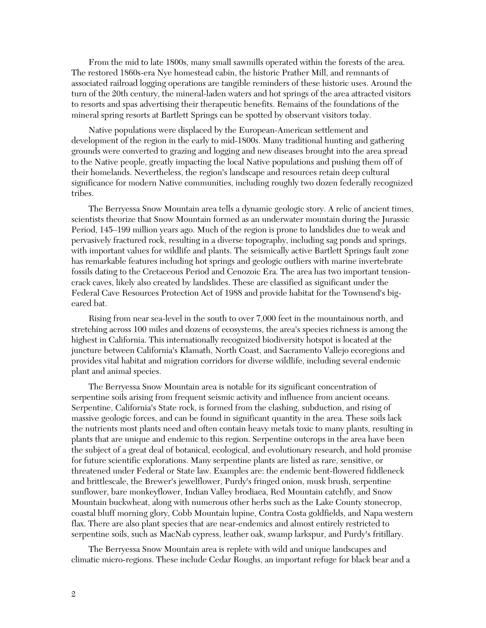From the mid to late 1800s, many small sawmills operated within the forests of the area. The restored 1860s-era Nye homestead cabin, the historic Prather Mill, and remnants of associated railroad logging operations are tangible reminders of these historic uses. Around the turn of the 20th century, the mineral-laden waters and hot springs of the area attracted visitors to resorts and spas advertising their therapeutic benefits. Remains of the foundations of the mineral spring resorts at Bartlett Springs can be spotted by observant visitors today.

Native populations were displaced by the European-American settlement and development of the region in the early to mid-1800s. Many traditional hunting and gathering grounds were converted to grazing and logging and new diseases brought into the area spread to the Native people, greatly impacting the local Native populations and pushing them off of their homelands. Nevertheless, the region's landscape and resources retain deep cultural significance for modern Native communities, including roughly two dozen federally recognized tribes.

The Berryessa Snow Mountain area tells a dynamic geologic story. A relic of ancient times, scientists theorize that Snow Mountain formed as an underwater mountain during the Jurassic Period, 145–199 million years ago. Much of the region is prone to landslides due to weak and pervasively fractured rock, resulting in a diverse topography, including sag ponds and springs, with important values for wildlife and plants. The seismically active Bartlett Springs fault zone has remarkable features including hot springs and geologic outliers with marine invertebrate fossils dating to the Cretaceous Period and Cenozoic Era. The area has two important tensioncrack caves, likely also created by landslides. These are classified as significant under the Federal Cave Resources Protection Act of 1988 and provide habitat for the Townsend's bigeared bat.

Rising from near sea-level in the south to over 7,000 feet in the mountainous north, and stretching across 100 miles and dozens of ecosystems, the area's species richness is among the highest in California. This internationally recognized biodiversity hotspot is located at the juncture between California's Klamath, North Coast, and Sacramento Vallejo ecoregions and provides vital habitat and migration corridors for diverse wildlife, including several endemic plant and animal species.

The Berryessa Snow Mountain area is notable for its significant concentration of serpentine soils arising from frequent seismic activity and influence from ancient oceans. Serpentine, California's State rock, is formed from the clashing, subduction, and rising of massive geologic forces, and can be found in significant quantity in the area. These soils lack the nutrients most plants need and often contain heavy metals toxic to many plants, resulting in plants that are unique and endemic to this region. Serpentine outcrops in the area have been the subject of a great deal of botanical, ecological, and evolutionary research, and hold promise for future scientific explorations. Many serpentine plants are listed as rare, sensitive, or threatened under Federal or State law. Examples are: the endemic bent-flowered fiddleneck and brittlescale, the Brewer's jewelflower, Purdy's fringed onion, musk brush, serpentine sunflower, bare monkeyflower, Indian Valley brodiaea, Red Mountain catchfly, and Snow Mountain buckwheat, along with numerous other herbs such as the Lake County stonecrop, coastal bluff morning glory, Cobb Mountain lupine, Contra Costa goldfields, and Napa western flax. There are also plant species that are near-endemics and almost entirely restricted to serpentine soils, such as MacNab cypress, leather oak, swamp larkspur, and Purdy's fritillary.

The Berryessa Snow Mountain area is replete with wild and unique landscapes and climatic micro-regions. These include Cedar Roughs, an important refuge for black bear and a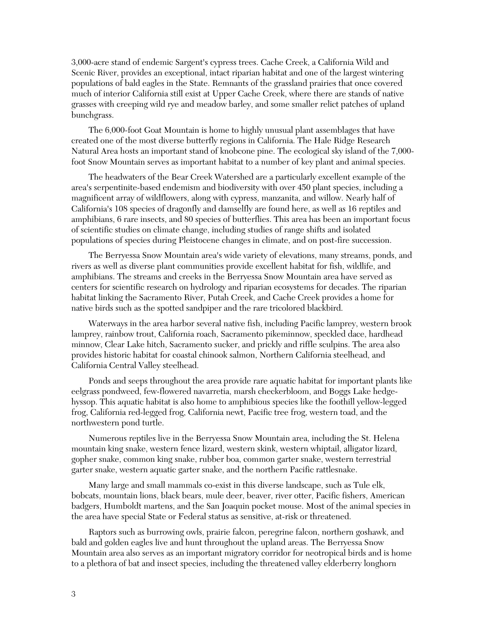3,000-acre stand of endemic Sargent's cypress trees. Cache Creek, a California Wild and Scenic River, provides an exceptional, intact riparian habitat and one of the largest wintering populations of bald eagles in the State. Remnants of the grassland prairies that once covered much of interior California still exist at Upper Cache Creek, where there are stands of native grasses with creeping wild rye and meadow barley, and some smaller relict patches of upland bunchgrass.

The 6,000-foot Goat Mountain is home to highly unusual plant assemblages that have created one of the most diverse butterfly regions in California. The Hale Ridge Research Natural Area hosts an important stand of knobcone pine. The ecological sky island of the 7,000 foot Snow Mountain serves as important habitat to a number of key plant and animal species.

The headwaters of the Bear Creek Watershed are a particularly excellent example of the area's serpentinite-based endemism and biodiversity with over 450 plant species, including a magnificent array of wildflowers, along with cypress, manzanita, and willow. Nearly half of California's 108 species of dragonfly and damselfly are found here, as well as 16 reptiles and amphibians, 6 rare insects, and 80 species of butterflies. This area has been an important focus of scientific studies on climate change, including studies of range shifts and isolated populations of species during Pleistocene changes in climate, and on post-fire succession.

The Berryessa Snow Mountain area's wide variety of elevations, many streams, ponds, and rivers as well as diverse plant communities provide excellent habitat for fish, wildlife, and amphibians. The streams and creeks in the Berryessa Snow Mountain area have served as centers for scientific research on hydrology and riparian ecosystems for decades. The riparian habitat linking the Sacramento River, Putah Creek, and Cache Creek provides a home for native birds such as the spotted sandpiper and the rare tricolored blackbird.

Waterways in the area harbor several native fish, including Pacific lamprey, western brook lamprey, rainbow trout, California roach, Sacramento pikeminnow, speckled dace, hardhead minnow, Clear Lake hitch, Sacramento sucker, and prickly and riffle sculpins. The area also provides historic habitat for coastal chinook salmon, Northern California steelhead, and California Central Valley steelhead.

Ponds and seeps throughout the area provide rare aquatic habitat for important plants like eelgrass pondweed, few-flowered navarretia, marsh checkerbloom, and Boggs Lake hedgehyssop. This aquatic habitat is also home to amphibious species like the foothill yellow-legged frog, California red-legged frog, California newt, Pacific tree frog, western toad, and the northwestern pond turtle.

Numerous reptiles live in the Berryessa Snow Mountain area, including the St. Helena mountain king snake, western fence lizard, western skink, western whiptail, alligator lizard, gopher snake, common king snake, rubber boa, common garter snake, western terrestrial garter snake, western aquatic garter snake, and the northern Pacific rattlesnake.

Many large and small mammals co-exist in this diverse landscape, such as Tule elk, bobcats, mountain lions, black bears, mule deer, beaver, river otter, Pacific fishers, American badgers, Humboldt martens, and the San Joaquin pocket mouse. Most of the animal species in the area have special State or Federal status as sensitive, at-risk or threatened.

Raptors such as burrowing owls, prairie falcon, peregrine falcon, northern goshawk, and bald and golden eagles live and hunt throughout the upland areas. The Berryessa Snow Mountain area also serves as an important migratory corridor for neotropical birds and is home to a plethora of bat and insect species, including the threatened valley elderberry longhorn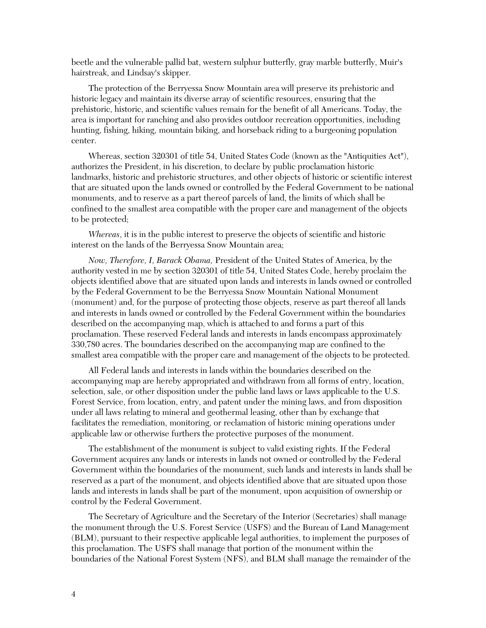beetle and the vulnerable pallid bat, western sulphur butterfly, gray marble butterfly, Muir's hairstreak, and Lindsay's skipper.

The protection of the Berryessa Snow Mountain area will preserve its prehistoric and historic legacy and maintain its diverse array of scientific resources, ensuring that the prehistoric, historic, and scientific values remain for the benefit of all Americans. Today, the area is important for ranching and also provides outdoor recreation opportunities, including hunting, fishing, hiking, mountain biking, and horseback riding to a burgeoning population center.

Whereas, section 320301 of title 54, United States Code (known as the "Antiquities Act"), authorizes the President, in his discretion, to declare by public proclamation historic landmarks, historic and prehistoric structures, and other objects of historic or scientific interest that are situated upon the lands owned or controlled by the Federal Government to be national monuments, and to reserve as a part thereof parcels of land, the limits of which shall be confined to the smallest area compatible with the proper care and management of the objects to be protected;

*Whereas*, it is in the public interest to preserve the objects of scientific and historic interest on the lands of the Berryessa Snow Mountain area;

*Now, Therefore, I, Barack Obama,* President of the United States of America, by the authority vested in me by section 320301 of title 54, United States Code, hereby proclaim the objects identified above that are situated upon lands and interests in lands owned or controlled by the Federal Government to be the Berryessa Snow Mountain National Monument (monument) and, for the purpose of protecting those objects, reserve as part thereof all lands and interests in lands owned or controlled by the Federal Government within the boundaries described on the accompanying map, which is attached to and forms a part of this proclamation. These reserved Federal lands and interests in lands encompass approximately 330,780 acres. The boundaries described on the accompanying map are confined to the smallest area compatible with the proper care and management of the objects to be protected.

All Federal lands and interests in lands within the boundaries described on the accompanying map are hereby appropriated and withdrawn from all forms of entry, location, selection, sale, or other disposition under the public land laws or laws applicable to the U.S. Forest Service, from location, entry, and patent under the mining laws, and from disposition under all laws relating to mineral and geothermal leasing, other than by exchange that facilitates the remediation, monitoring, or reclamation of historic mining operations under applicable law or otherwise furthers the protective purposes of the monument.

The establishment of the monument is subject to valid existing rights. If the Federal Government acquires any lands or interests in lands not owned or controlled by the Federal Government within the boundaries of the monument, such lands and interests in lands shall be reserved as a part of the monument, and objects identified above that are situated upon those lands and interests in lands shall be part of the monument, upon acquisition of ownership or control by the Federal Government.

The Secretary of Agriculture and the Secretary of the Interior (Secretaries) shall manage the monument through the U.S. Forest Service (USFS) and the Bureau of Land Management (BLM), pursuant to their respective applicable legal authorities, to implement the purposes of this proclamation. The USFS shall manage that portion of the monument within the boundaries of the National Forest System (NFS), and BLM shall manage the remainder of the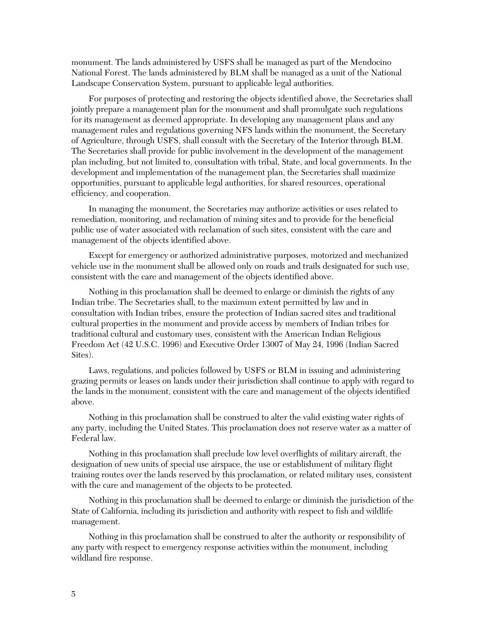monument. The lands administered by USFS shall be managed as part of the Mendocino National Forest. The lands administered by BLM shall be managed as a unit of the National Landscape Conservation System, pursuant to applicable legal authorities.

For purposes of protecting and restoring the objects identified above, the Secretaries shall jointly prepare a management plan for the monument and shall promulgate such regulations for its management as deemed appropriate. In developing any management plans and any management rules and regulations governing NFS lands within the monument, the Secretary of Agriculture, through USFS, shall consult with the Secretary of the Interior through BLM. The Secretaries shall provide for public involvement in the development of the management plan including, but not limited to, consultation with tribal, State, and local governments. In the development and implementation of the management plan, the Secretaries shall maximize opportunities, pursuant to applicable legal authorities, for shared resources, operational efficiency, and cooperation.

In managing the monument, the Secretaries may authorize activities or uses related to remediation, monitoring, and reclamation of mining sites and to provide for the beneficial public use of water associated with reclamation of such sites, consistent with the care and management of the objects identified above.

Except for emergency or authorized administrative purposes, motorized and mechanized vehicle use in the monument shall be allowed only on roads and trails designated for such use, consistent with the care and management of the objects identified above.

Nothing in this proclamation shall be deemed to enlarge or diminish the rights of any Indian tribe. The Secretaries shall, to the maximum extent permitted by law and in consultation with Indian tribes, ensure the protection of Indian sacred sites and traditional cultural properties in the monument and provide access by members of Indian tribes for traditional cultural and customary uses, consistent with the American Indian Religious Freedom Act (42 U.S.C. 1996) and Executive Order 13007 of May 24, 1996 (Indian Sacred Sites).

Laws, regulations, and policies followed by USFS or BLM in issuing and administering grazing permits or leases on lands under their jurisdiction shall continue to apply with regard to the lands in the monument, consistent with the care and management of the objects identified above.

Nothing in this proclamation shall be construed to alter the valid existing water rights of any party, including the United States. This proclamation does not reserve water as a matter of Federal law.

Nothing in this proclamation shall preclude low level overflights of military aircraft, the designation of new units of special use airspace, the use or establishment of military flight training routes over the lands reserved by this proclamation, or related military uses, consistent with the care and management of the objects to be protected.

Nothing in this proclamation shall be deemed to enlarge or diminish the jurisdiction of the State of California, including its jurisdiction and authority with respect to fish and wildlife management.

Nothing in this proclamation shall be construed to alter the authority or responsibility of any party with respect to emergency response activities within the monument, including wildland fire response.